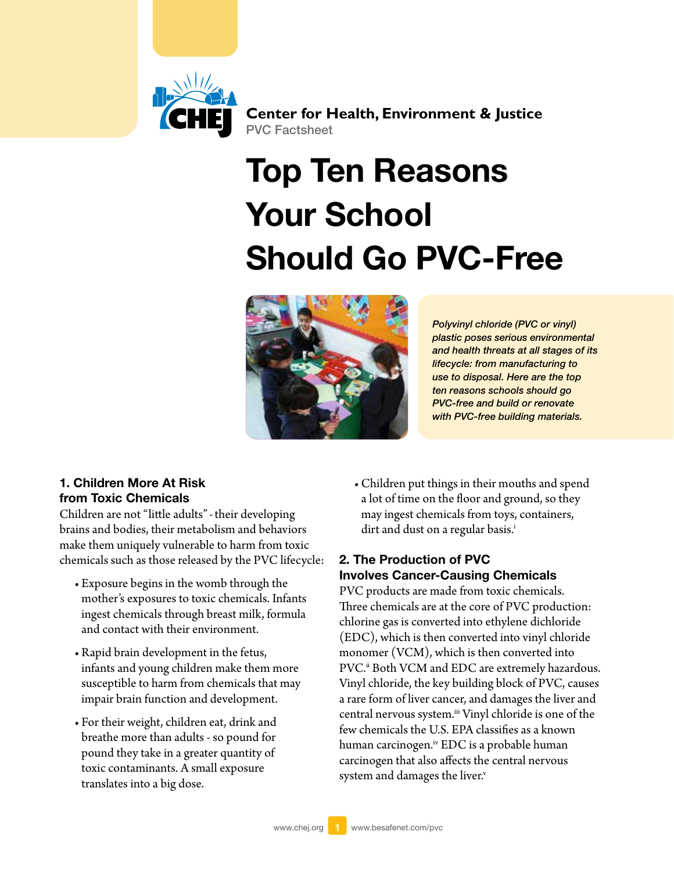

**Center for Health, Environment & Justice** PVC Factsheet

# Top Ten Reasons Your School Should Go PVC-Free



*Polyvinyl chloride (PVC or vinyl) plastic poses serious environmental and health threats at all stages of its lifecycle: from manufacturing to use to disposal. Here are the top ten reasons schools should go PVC-free and build or renovate with PVC-free building materials.*

#### 1. Children More At Risk from Toxic Chemicals

Children are not "little adults"-their developing brains and bodies, their metabolism and behaviors make them uniquely vulnerable to harm from toxic chemicals such as those released by the PVC lifecycle:

- Exposure begins in the womb through the mother's exposures to toxic chemicals. Infants ingest chemicals through breast milk, formula and contact with their environment.
- • Rapid brain development in the fetus, infants and young children make them more susceptible to harm from chemicals that may impair brain function and development.
- • For their weight, children eat, drink and breathe more than adults - so pound for pound they take in a greater quantity of toxic contaminants. A small exposure translates into a big dose.

• Children put things in their mouths and spend a lot of time on the floor and ground, so they may ingest chemicals from toys, containers, dirt and dust on a regular basis.<sup>i</sup>

# 2. The Production of PVC Involves Cancer-Causing Chemicals

PVC products are made from toxic chemicals. Three chemicals are at the core of PVC production: chlorine gas is converted into ethylene dichloride (EDC), which is then converted into vinyl chloride monomer (VCM), which is then converted into PVC.<sup>[ii](#page-4-1)</sup> Both VCM and EDC are extremely hazardous. Vinyl chloride, the key building block of PVC, causes a rare form of liver cancer, and damages the liver and central nervous system.<sup>iii</sup> Vinyl chloride is one of the few chemicals the U.S. EPA classifies as a known human carcinogen.<sup>[iv](#page-4-3)</sup> EDC is a probable human carcinogen that also affects the central nervous system and damages the liver.<sup>v</sup>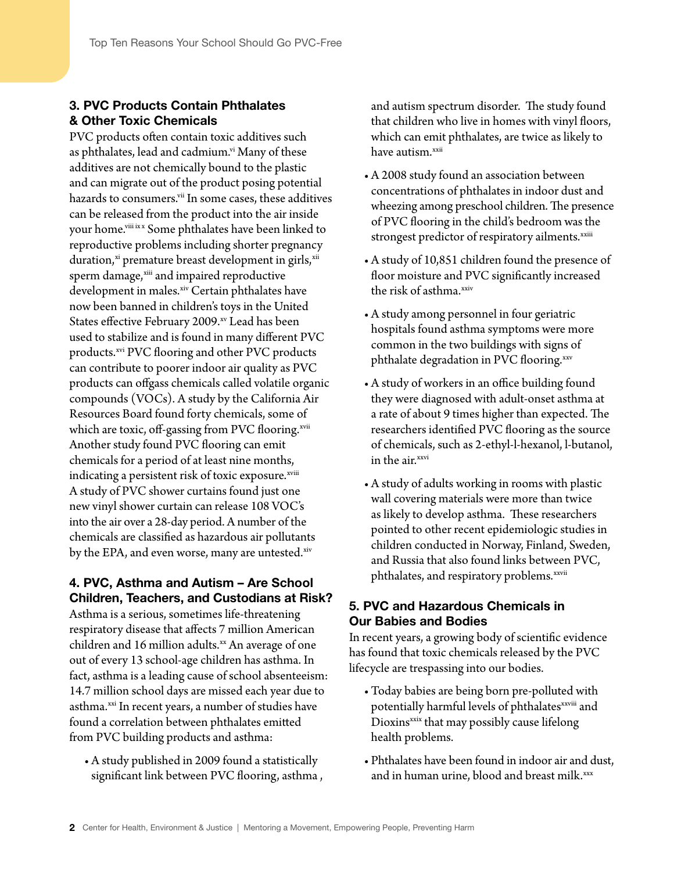# 3. PVC Products Contain Phthalates & Other Toxic Chemicals

PVC products often contain toxic additives such as phthalates, lead and cadmium.<sup>vi</sup> Many of these additives are not chemically bound to the plastic and can migrate out of the product posing potential hazards to consumers.<sup>vii</sup> In some cases, these additives can be released from the product into the air inside your home.<sup>viii [ix](#page-4-8) [x](#page-4-9)</sup> Some phthalates have been linked to reproductive problems including shorter pregnancy duration,<sup>[xi](#page-4-10)</sup> premature breast development in girls,<sup>[xii](#page-4-11)</sup> sperm damage, [xiii](#page-4-12) and impaired reproductive development in males.[xiv](#page-4-13) Certain phthalates have now been banned in children's toys in the United States effective February 2009.[xv](#page-4-14) Lead has been used to stabilize and is found in many different PVC products.<sup>[xvi](#page-4-15)</sup> PVC flooring and other PVC products can contribute to poorer indoor air quality as PVC products can offgass chemicals called volatile organic compounds (VOCs). A study by the California Air Resources Board found forty chemicals, some of which are toxic, off-gassing from PVC flooring.<sup>[xvii](#page-4-16)</sup> Another study found PVC flooring can emit chemicals for a period of at least nine months, indicating a persistent risk of toxic exposure.<sup>[xviii](#page-4-17)</sup> A study of PVC shower curtains found just one new vinyl shower curtain can release 108 VOC's into the air over a 28-day period. A number of the chemicals are classified as hazardous air pollutants by the EPA, and even worse, many are untested.<sup>[xiv](#page-4-13)</sup>

# 4. PVC, Asthma and Autism – Are School Children, Teachers, and Custodians at Risk?

Asthma is a serious, sometimes life-threatening respiratory disease that affects 7 million American children and 16 million adults. $x^2$  An average of one out of every 13 school-age children has asthma. In fact, asthma is a leading cause of school absenteeism: 14.7 million school days are missed each year due to asthma.<sup>xxi</sup> In recent years, a number of studies have found a correlation between phthalates emitted from PVC building products and asthma:

• A study published in 2009 found a statistically significant link between PVC flooring, asthma , and autism spectrum disorder. The study found that children who live in homes with vinyl floors, which can emit phthalates, are twice as likely to have autism.<sup>[xxii](#page-5-0)</sup>

- • A 2008 study found an association between concentrations of phthalates in indoor dust and wheezing among preschool children. The presence of PVC flooring in the child's bedroom wasthe strongest predictor of respiratory ailments.<sup>[xxiii](#page-5-1)</sup>
- A study of 10,851 children found the presence of floor moisture and PVC significantly increased the risk of asthma.<sup>xxiv</sup>
- • A study among personnel in four geriatric hospitals found asthma symptoms were more common in the two buildings with signs of phthalate degradation in PVC flooring[.xxv](#page-5-3)
- A study of workers in an office building found they were diagnosed with adult-onset asthma at a rate of about 9 times higher than expected. The researchers identified PVC flooring as the source of chemicals, such as 2-ethyl-l-hexanol, l-butanol, in the air.<sup>xxvi</sup>
- • A study of adults working in rooms with plastic wall covering materials were more than twice as likely to develop asthma. These researchers pointed to other recent epidemiologic studies in children conducted in Norway, Finland, Sweden, and Russia that also found links between PVC, phthalates, and respiratory problems.<sup>[xxvii](#page-5-5)</sup>

## 5. PVC and Hazardous Chemicals in Our Babies and Bodies

In recent years, a growing body of scientific evidence has found that toxic chemicals released by the PVC lifecycle are trespassing into our bodies.

- • Today babies are being born pre-polluted with potentially harmful levels of phthalates<sup>[xxviii](#page-5-6)</sup> and Dioxins<sup>[xxix](#page-5-7)</sup> that may possibly cause lifelong health problems.
- Phthalates have been found in indoor air and dust, and in human urine, blood and breast milk.[xxx](#page-5-8)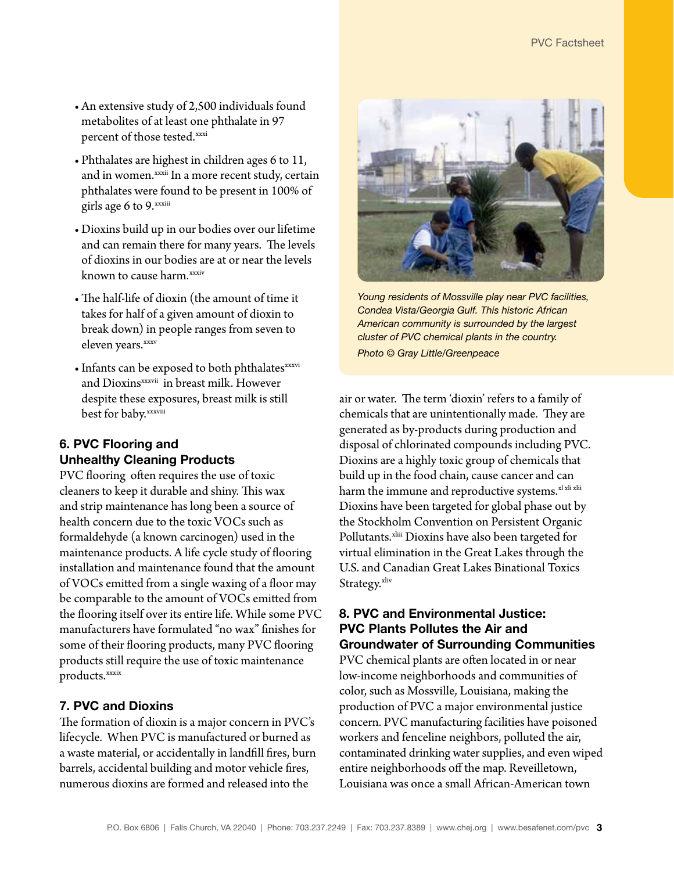- An extensive study of 2,500 individuals found metabolites of at least one phthalate in 97 percent of those tested.xxxi
- Phthalates are highest in children ages 6 to 11, and in women.<sup>xxxii</sup> In a more recent study, certain phthalates were found to be present in 100% of girls age 6 to 9.[xxxiii](#page-5-11)
- • Dioxins build up in our bodies over our lifetime and can remain there for many years. The levels of dioxins in our bodies are at or near the levels known to cause harm.<sup>[xxxiv](#page-5-12)</sup>
- The half-life of dioxin (the amount of time it takes for half of a given amount of dioxin to break down) in people ranges from seven to eleven years.[xxxv](#page-5-13)
- Infants can be exposed to both phthalates<sup>[xxxvi](#page-5-14)</sup> and Dioxins<sup>[xxxvii](#page-5-15)</sup> in breast milk. However despite these exposures, breast milk is still best for baby[.xxxviii](#page-5-16)

## 6. PVC Flooring and Unhealthy Cleaning Products

PVC flooring often requires the use of toxic cleaners to keep it durable and shiny. This wax and strip maintenance has long been a source of health concern due to the toxic VOCs such as formaldehyde (a known carcinogen) used in the maintenance products. A life cycle study of flooring installation and maintenance found that the amount of VOCs emitted from a single waxing of a floor may be comparable to the amount of VOCs emitted from the flooring itself over its entire life. While some PVC manufacturers have formulated "no wax" finishes for some of their flooring products, many PVC flooring products still require the use of toxic maintenance products.<sup>[xxxix](#page-5-17)</sup>

## 7. PVC and Dioxins

The formation of dioxin is a major concern in PVC's lifecycle. When PVC is manufactured or burned as a waste material, or accidentally in landfill fires, burn barrels, accidental building and motor vehicle fires, numerous dioxins are formed and released into the



*Young residents of Mossville play near PVC facilities, Condea Vista/Georgia Gulf. This historic African American community is surrounded by the largest cluster of PVC chemical plants in the country. Photo © Gray Little/Greenpeace*

air or water. The term 'dioxin' refers to a family of chemicals that are unintentionally made. They are generated as by-products during production and disposal of chlorinated compounds including PVC. Dioxins are a highly toxic group of chemicals that build up in the food chain, cause cancer and can harm the immune and reproductive systems.<sup>xl [xli](#page-5-19) [xlii](#page-5-20)</sup> Dioxins have been targeted for global phase out by the Stockholm Convention on Persistent Organic Pollutants.<sup>[xliii](#page-5-21)</sup> Dioxins have also been targeted for virtual elimination in the Great Lakes through the U.S. and Canadian Great Lakes Binational Toxics Strategy.<sup>[xliv](#page-6-0)</sup>

#### 8. PVC and Environmental Justice: PVC Plants Pollutes the Air and Groundwater of Surrounding Communities

PVC chemical plants are often located in or near low-income neighborhoods and communities of color, such as Mossville, Louisiana, making the production of PVC a major environmental justice concern. PVC manufacturing facilities have poisoned workers and fenceline neighbors, polluted the air, contaminated drinking water supplies, and even wiped entire neighborhoods off the map. Reveilletown, Louisiana was once a small African-American town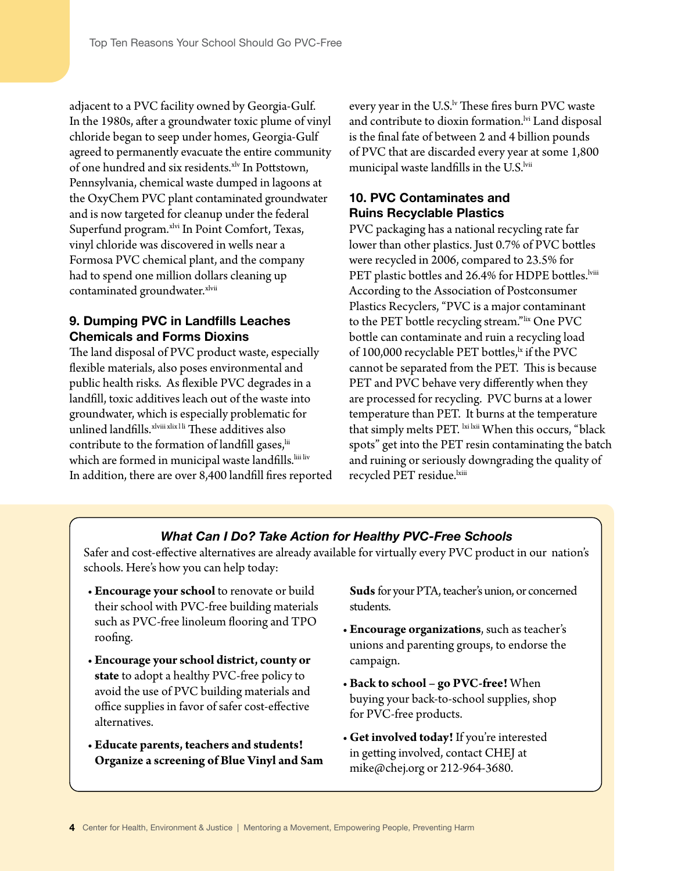adjacent to a PVC facility owned by Georgia-Gulf. In the 1980s, after a groundwater toxic plume of vinyl chloride began to seep under homes, Georgia-Gulf agreed to permanently evacuate the entire community of one hundred and six residents.<sup>[xlv](#page-6-1)</sup> In Pottstown, Pennsylvania, chemical waste dumped in lagoons at the OxyChem PVC plant contaminated groundwater and is now targeted for cleanup under the federal Superfund program.<sup>[xlvi](#page-6-2)</sup> In Point Comfort, Texas, vinyl chloride was discovered in wells near a Formosa PVC chemical plant, and the company had to spend one million dollars cleaning up contaminated groundwater.<sup>[xlvii](#page-6-3)</sup>

#### 9. Dumping PVC in Landfills Leaches Chemicals and Forms Dioxins

The land disposal of PVC product waste, especially flexible materials, also poses environmental and public health risks. As flexible PVC degrades in a landfill, toxic additives leach out of the waste into groundwater, which is especially problematic for unlined landfills. [xlviii](#page-6-4) [xlix](#page-6-5) [l](#page-6-6) [li](#page-6-7) These additives also contribute to the formation of landfill gases, iii which are formed in municipal waste landfills. [liii](#page-6-9) [liv](#page-6-10) In addition, there are over 8,400 landfill fires reported

every year in the U.S. $\frac{1}{N}$  These fires burn PVC waste and contribute to dioxin formation.<sup>Ivi</sup> Land disposal is the final fate of between 2 and 4 billion pounds of PVC that are discarded every year at some 1,800 municipal waste landfills in the U.S.<sup>[lvii](#page-6-13)</sup>

## 10. PVC Contaminates and Ruins Recyclable Plastics

PVC packaging has a national recycling rate far lower than other plastics. Just 0.7% of PVC bottles were recycled in 2006, compared to 23.5% for PET plastic bottles and 26.4% for HDPE bottles.<sup>Iviii</sup> According to the Association of Postconsumer Plastics Recyclers, "PVC is a major contaminant to the PET bottle recycling stream."[lix](#page-6-15) One PVC bottle can contaminate and ruin a recycling load of 100,000 recyclable PET bottles,<sup>1x</sup> if the PVC cannot be separated from the PET. This is because PET and PVC behave very differently when they are processed for recycling. PVC burns at a lower temperature than PET. It burns at the temperature that simply melts PET. [lxi](#page-6-17) [lxii](#page-6-18) When this occurs, "black spots" get into the PET resin contaminating the batch and ruining or seriously downgrading the quality of recycled PET residue.<sup>[lxiii](#page-6-19)</sup>

#### *What Can I Do? Take Action for Healthy PVC-Free Schools*

Safer and cost-effective alternatives are already available for virtually every PVC product in our nation's schools. Here's how you can help today:

- **Encourage your school** to renovate or build their school with PVC-free building materials such as PVC-free linoleum flooring and TPO roofing.
- **Encourage your school district, county or state** to adopt a healthy PVC-free policy to avoid the use of PVC building materials and office supplies in favor of safer cost-effective alternatives.
- • **Educate parents, teachers and students! Organize a screening of Blue Vinyl and Sam**

**Suds** for your PTA, teacher's union, or concerned students.

- • **Encourage organizations**, such as teacher's unions and parenting groups, to endorse the campaign.
- • **Back to school go PVC-free!** When buying your back-to-school supplies, shop for PVC-free products.
- • **Get involved today!** If you're interested in getting involved, contact CHEJ at mike@chej.org or 212-964-3680.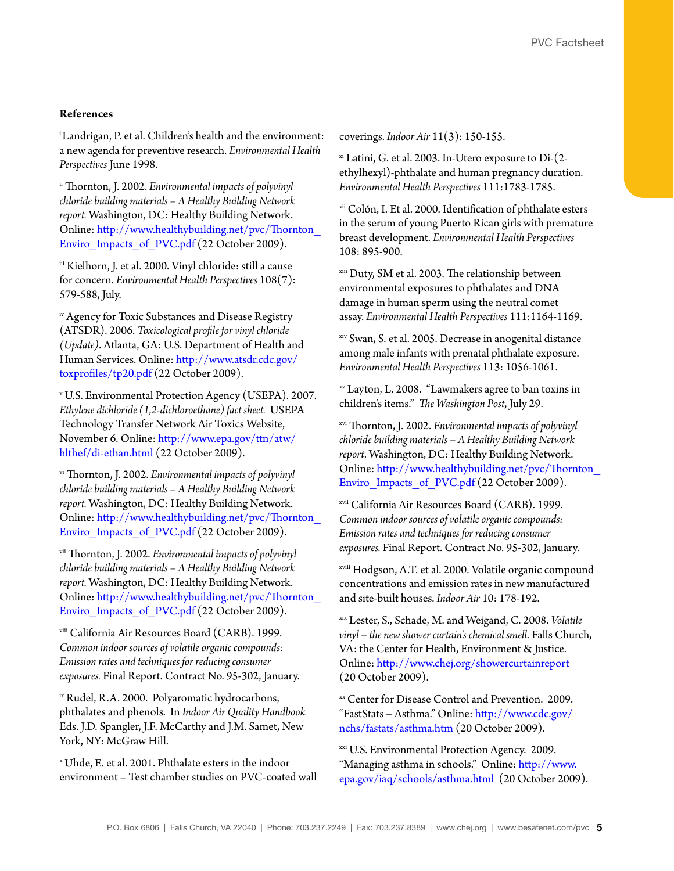#### **References**

<span id="page-4-0"></span>i Landrigan, P. et al. Children's health and the environment: a new agenda for preventive research. *Environmental Health Perspectives* June 1998.

<span id="page-4-1"></span>ii Thornton, J. 2002. *Environmental impacts of polyvinyl chloride building materials – A Healthy Building Network report.* Washington, DC: Healthy Building Network. Online: [http://www.healthybuilding.net/pvc/Thornton\\_](http://www.healthybuilding.net/pvc/Thornton_Enviro_Impacts_of_PVC.pdf) Enviro Impacts of PVC.pdf (22 October 2009).

<span id="page-4-2"></span>iii Kielhorn, J. et al. 2000. Vinyl chloride: still a cause for concern. *Environmental Health Perspectives* 108(7): 579-588, July.

<span id="page-4-3"></span>iv Agency for Toxic Substances and Disease Registry (ATSDR). 2006. *Toxicological profile for vinyl chloride (Update)*. Atlanta, GA: U.S. Department of Health and Human Services. Online: [http://www.atsdr.cdc.gov/](http://www.atsdr.cdc.gov/toxprofiles/tp20.pdf) [toxprofiles/tp20.pdf](http://www.atsdr.cdc.gov/toxprofiles/tp20.pdf) (22 October 2009).

<span id="page-4-4"></span><sup>v</sup> U.S. Environmental Protection Agency (USEPA). 2007. *Ethylene dichloride (1,2-dichloroethane) fact sheet.* USEPA Technology Transfer Network Air Toxics Website, November 6. Online: [http://www.epa.gov/ttn/atw/](http://www.epa.gov/ttn/atw/hlthef/di-ethan.html) [hlthef/di-ethan.html](http://www.epa.gov/ttn/atw/hlthef/di-ethan.html) (22 October 2009).

<span id="page-4-5"></span>vi Thornton, J. 2002. *Environmental impacts of polyvinyl chloride building materials – A Healthy Building Network report.* Washington, DC: Healthy Building Network. Online: [http://www.healthybuilding.net/pvc/Thornton\\_](http://www.healthybuilding.net/pvc/Thornton_Enviro_Impacts_of_PVC.pdf) Enviro Impacts of PVC.pdf (22 October 2009).

<span id="page-4-6"></span>vii Thornton, J. 2002. *Environmental impacts of polyvinyl chloride building materials – A Healthy Building Network report.* Washington, DC: Healthy Building Network. Online: [http://www.healthybuilding.net/pvc/Thornton\\_](http://www.healthybuilding.net/pvc/Thornton_Enviro_Impacts_of_PVC.pdf) Enviro Impacts of PVC.pdf (22 October 2009).

<span id="page-4-7"></span>viii California Air Resources Board (CARB). 1999. *Common indoor sources of volatile organic compounds: Emission rates and techniques for reducing consumer exposures.* Final Report. Contract No. 95-302, January.

<span id="page-4-8"></span>ix Rudel, R.A. 2000. Polyaromatic hydrocarbons, phthalates and phenols. In *Indoor Air Quality Handbook* Eds. J.D. Spangler, J.F. McCarthy and J.M. Samet, New York, NY: McGraw Hill.

<span id="page-4-9"></span><sup>x</sup> Uhde, E. et al. 2001. Phthalate esters in the indoor environment – Test chamber studies on PVC-coated wall coverings. *Indoor Air* 11(3): 150-155.

<span id="page-4-10"></span> $x$ <sup>i</sup> Latini, G. et al. 2003. In-Utero exposure to Di- $(2-x)$ ethylhexyl)-phthalate and human pregnancy duration. *Environmental Health Perspectives* 111:1783-1785.

<span id="page-4-11"></span>xii Colón, I. Et al. 2000. Identification of phthalate esters in the serum of young Puerto Rican girls with premature breast development. *Environmental Health Perspectives*  108: 895-900.

<span id="page-4-12"></span>xiii Duty, SM et al. 2003. The relationship between environmental exposures to phthalates and DNA damage in human sperm using the neutral comet assay. *Environmental Health Perspectives* 111:1164-1169.

<span id="page-4-13"></span>xiv Swan, S. et al. 2005. Decrease in anogenital distance among male infants with prenatal phthalate exposure. *Environmental Health Perspectives* 113: 1056-1061.

<span id="page-4-14"></span>xv Layton, L. 2008. "Lawmakers agree to ban toxins in children's items." *The Washington Post*, July 29.

<span id="page-4-15"></span>xvi Thornton, J. 2002. *Environmental impacts of polyvinyl chloride building materials – A Healthy Building Network report*. Washington, DC: Healthy Building Network. Online: [http://www.healthybuilding.net/pvc/Thornton\\_](http://www.healthybuilding.net/pvc/Thornton_Enviro_Impacts_of_PVC.pdf) [Enviro\\_Impacts\\_of\\_PVC.pdf](http://www.healthybuilding.net/pvc/Thornton_Enviro_Impacts_of_PVC.pdf) (22 October 2009).

<span id="page-4-16"></span>xvii California Air Resources Board (CARB). 1999. *Common indoor sources of volatile organic compounds: Emission rates and techniques for reducing consumer exposures.* Final Report. Contract No. 95-302, January.

<span id="page-4-17"></span>xviii Hodgson, A.T. et al. 2000. Volatile organic compound concentrations and emission rates in new manufactured and site-built houses. *Indoor Air* 10: 178-192.

xix Lester, S., Schade, M. and Weigand, C. 2008. *Volatile vinyl – the new shower curtain's chemical smell*. Falls Church, VA: the Center for Health, Environment & Justice. Online: <http://www.chej.org/showercurtainreport> (20 October 2009).

<span id="page-4-18"></span>xx Center for Disease Control and Prevention. 2009. "FastStats – Asthma." Online: [http://www.cdc.gov/](http://www.cdc.gov/nchs/fastats/asthma.htm) [nchs/fastats/asthma.htm](http://www.cdc.gov/nchs/fastats/asthma.htm) (20 October 2009).

xxi U.S. Environmental Protection Agency. 2009. "Managing asthma in schools." Online: [http://www.](http://www.epa.gov/iaq/schools/asthma.html) [epa.gov/iaq/schools/asthma.html](http://www.epa.gov/iaq/schools/asthma.html) (20 October 2009).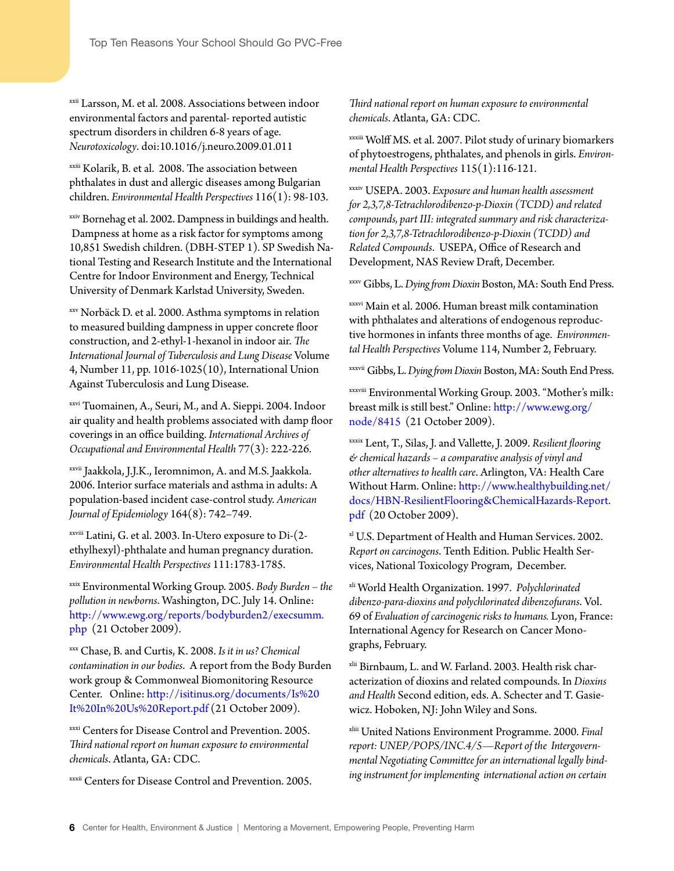<span id="page-5-0"></span>xxii Larsson, M. et al. 2008. Associations between indoor environmental factors and parental- reported autistic spectrum disorders in children 6-8 years of age. *Neurotoxicology*. doi:10.1016/j.neuro.2009.01.011

<span id="page-5-1"></span>xxiii Kolarik, B. et al. 2008. The association between phthalates in dust and allergic diseases among Bulgarian children. *Environmental Health Perspectives* 116(1): 98-103.

<span id="page-5-2"></span>xxiv Bornehag et al. 2002. Dampness in buildings and health. Dampness at home as a risk factor for symptoms among 10,851 Swedish children. (DBH-STEP 1). SP Swedish National Testing and Research Institute and the International Centre for Indoor Environment and Energy, Technical University of Denmark Karlstad University, Sweden.

<span id="page-5-3"></span>xxv Norbäck D. et al. 2000. Asthma symptoms in relation to measured building dampness in upper concrete floor construction, and 2-ethyl-1-hexanol in indoor air. *The International Journal of Tuberculosis and Lung Disease* Volume 4, Number 11, pp. 1016-1025(10), International Union Against Tuberculosis and Lung Disease.

<span id="page-5-4"></span>xxvi Tuomainen, A., Seuri, M., and A. Sieppi. 2004. Indoor air quality and health problems associated with damp floor coverings in an office building. *International Archives of Occupational and Environmental Health* 77(3): 222-226.

<span id="page-5-5"></span>xxvii Jaakkola, J.J.K., Ieromnimon, A. and M.S. Jaakkola. 2006. Interior surface materials and asthma in adults: A population-based incident case-control study. *American Journal of Epidemiology* 164(8): 742–749.

<span id="page-5-6"></span>xxviii Latini, G. et al. 2003. In-Utero exposure to Di-(2 ethylhexyl)-phthalate and human pregnancy duration. *Environmental Health Perspectives* 111:1783-1785.

<span id="page-5-7"></span>xxix Environmental Working Group. 2005. *Body Burden – the pollution in newborns*. Washington, DC. July 14. Online: [http://www.ewg.org/reports/bodyburden2/execsumm.](http://www.ewg.org/reports/bodyburden2/execsumm.php) [php](http://www.ewg.org/reports/bodyburden2/execsumm.php) (21 October 2009).

<span id="page-5-8"></span>xxx Chase, B. and Curtis, K. 2008. *Is it in us? Chemical contamination in our bodies*. A report from the Body Burden work group & Commonweal Biomonitoring Resource Center. Online: [http://isitinus.org/documents/Is%20](http://isitinus.org/documents/Is%20It%20In%20Us%20Report.pdf) [It%20In%20Us%20Report.pdf](http://isitinus.org/documents/Is%20It%20In%20Us%20Report.pdf) (21 October 2009).

<span id="page-5-9"></span>xxxi Centers for Disease Control and Prevention. 2005. *Third national report on human exposure to environmental chemicals*. Atlanta, GA: CDC.

<span id="page-5-10"></span>xxxii Centers for Disease Control and Prevention. 2005.

*Third national report on human exposure to environmental chemicals*. Atlanta, GA: CDC.

<span id="page-5-11"></span>xxxiii Wolff MS. et al. 2007. Pilot study of urinary biomarkers of phytoestrogens, phthalates, and phenols in girls. *Environmental Health Perspectives* 115(1):116-121.

<span id="page-5-12"></span>xxxiv USEPA. 2003. *Exposure and human health assessment for 2,3,7,8-Tetrachlorodibenzo-p-Dioxin (TCDD) and related compounds, part III: integrated summary and risk characterization for 2,3,7,8-Tetrachlorodibenzo-p-Dioxin (TCDD) and Related Compounds*. USEPA, Office of Research and Development, NAS Review Draft, December.

<span id="page-5-13"></span>xxxv Gibbs, L. *Dying from Dioxin* Boston, MA: South End Press.

<span id="page-5-14"></span>xxxvi Main et al. 2006. Human breast milk contamination with phthalates and alterations of endogenous reproductive hormones in infants three months of age. *Environmental Health Perspectives* Volume 114, Number 2, February.

<span id="page-5-15"></span>xxxvii Gibbs, L. *Dying from Dioxin* Boston, MA: South End Press.

<span id="page-5-16"></span>xxxviii Environmental Working Group. 2003. "Mother's milk: breast milk is still best." Online: [http://www.ewg.org/](http://www.ewg.org/node/8415) [node/8415](http://www.ewg.org/node/8415) (21 October 2009).

<span id="page-5-17"></span>xxxix Lent, T., Silas, J. and Vallette, J. 2009. *Resilient flooring & chemical hazards – a comparative analysis of vinyl and other alternatives to health care*. Arlington, VA: Health Care Without Harm. Online: [http://www.healthybuilding.net/](http://www.healthybuilding.net/docs/HBN-ResilientFlooring&ChemicalHazards-Report.pdf) [docs/HBN-ResilientFlooring&ChemicalHazards-Report.](http://www.healthybuilding.net/docs/HBN-ResilientFlooring&ChemicalHazards-Report.pdf) [pdf](http://www.healthybuilding.net/docs/HBN-ResilientFlooring&ChemicalHazards-Report.pdf) (20 October 2009).

<span id="page-5-18"></span><sup>xl</sup> U.S. Department of Health and Human Services. 2002. *Report on carcinogens*. Tenth Edition. Public Health Services, National Toxicology Program, December.

<span id="page-5-19"></span>xli World Health Organization. 1997. *Polychlorinated dibenzo-para-dioxins and polychlorinated dibenzofurans*. Vol. 69 of *Evaluation of carcinogenic risks to humans.* Lyon, France: International Agency for Research on Cancer Monographs, February.

<span id="page-5-20"></span>xlii Birnbaum, L. and W. Farland. 2003. Health risk characterization of dioxins and related compounds. In *Dioxins and Health* Second edition, eds. A. Schecter and T. Gasiewicz. Hoboken, NJ: John Wiley and Sons.

<span id="page-5-21"></span>xliii United Nations Environment Programme. 2000. *Final report: UNEP/POPS/INC.4/5—Report of the Intergovernmental Negotiating Committee for an international legally binding instrument for implementing international action on certain*